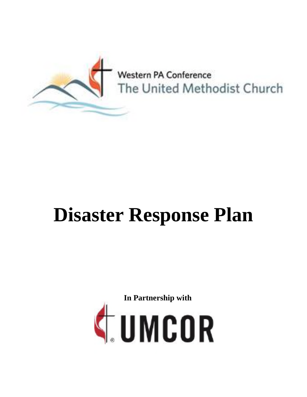

# **Disaster Response Plan**

**In Partnership with**

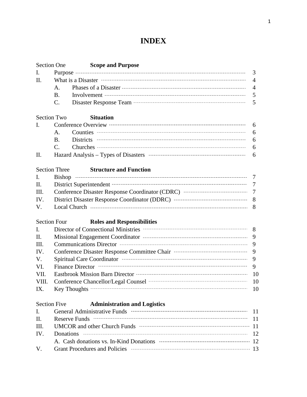# **INDEX**

|       | <b>Section One</b>   | <b>Scope and Purpose</b>                                                                                                                                                                                                                      |     |  |
|-------|----------------------|-----------------------------------------------------------------------------------------------------------------------------------------------------------------------------------------------------------------------------------------------|-----|--|
| I.    |                      |                                                                                                                                                                                                                                               | 3   |  |
| Π.    |                      |                                                                                                                                                                                                                                               |     |  |
|       | A.                   |                                                                                                                                                                                                                                               |     |  |
|       | <b>B</b> .           | Involvement $\cdots$ 5                                                                                                                                                                                                                        |     |  |
|       | C.                   |                                                                                                                                                                                                                                               | 5   |  |
|       | <b>Section Two</b>   | <b>Situation</b>                                                                                                                                                                                                                              |     |  |
| I.    |                      |                                                                                                                                                                                                                                               | 6   |  |
|       | A.                   |                                                                                                                                                                                                                                               | 6   |  |
|       | B.                   |                                                                                                                                                                                                                                               | 6   |  |
|       | $C_{\cdot}$          |                                                                                                                                                                                                                                               | 6   |  |
| Π.    |                      |                                                                                                                                                                                                                                               | 6   |  |
|       | <b>Section Three</b> | <b>Structure and Function</b>                                                                                                                                                                                                                 |     |  |
| I.    |                      |                                                                                                                                                                                                                                               |     |  |
| П.    |                      | District Superintendent TELECONDITION 7                                                                                                                                                                                                       |     |  |
| Ш.    |                      |                                                                                                                                                                                                                                               |     |  |
| IV.   |                      |                                                                                                                                                                                                                                               |     |  |
| V.    |                      |                                                                                                                                                                                                                                               |     |  |
|       | <b>Section Four</b>  | <b>Roles and Responsibilities</b>                                                                                                                                                                                                             |     |  |
| I.    |                      |                                                                                                                                                                                                                                               |     |  |
| П.    |                      |                                                                                                                                                                                                                                               |     |  |
| Ш.    |                      |                                                                                                                                                                                                                                               |     |  |
| IV.   |                      |                                                                                                                                                                                                                                               |     |  |
| V.    |                      |                                                                                                                                                                                                                                               |     |  |
| VI.   |                      | Finance Director manufactured and contact the Director of Tinance Director manufactured and property of the Director of the Director of the Director of the Director of the Director of the Director of the Director of the Di                |     |  |
| VII.  |                      |                                                                                                                                                                                                                                               |     |  |
| VIII. |                      | Conference Chancellor/Legal Counsel<br>10                                                                                                                                                                                                     |     |  |
| IX.   |                      |                                                                                                                                                                                                                                               | 10  |  |
|       | <b>Section Five</b>  | <b>Administration and Logistics</b>                                                                                                                                                                                                           |     |  |
| I.    |                      | General Administrative Funds The Communication of the Contract of Administrative Funds                                                                                                                                                        | -11 |  |
| П.    |                      | 11                                                                                                                                                                                                                                            |     |  |
| III.  |                      | UMCOR and other Church Funds <b>The Channel Contract Contract Church</b> Funds <b>The Church</b> Funds <b>The Church</b> Church The Church The Church The Church The Church The Church The Church The Church The Church The Church The Church |     |  |
| IV.   |                      |                                                                                                                                                                                                                                               |     |  |
|       |                      |                                                                                                                                                                                                                                               |     |  |
| V.    |                      |                                                                                                                                                                                                                                               |     |  |
|       |                      |                                                                                                                                                                                                                                               |     |  |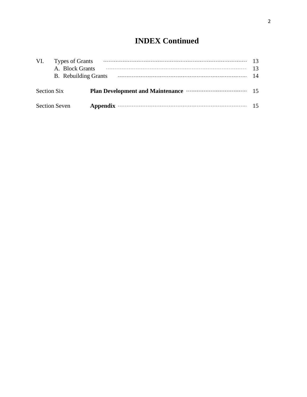# **INDEX Continued**

| VI.                | Types of Grants<br>A. Block Grants<br><b>B.</b> Rebuilding Grants |                                                                |    |  |  |
|--------------------|-------------------------------------------------------------------|----------------------------------------------------------------|----|--|--|
| <b>Section Six</b> |                                                                   | Plan Development and Maintenance <b>With the Contract Plan</b> | 15 |  |  |
|                    | <b>Section Seven</b>                                              |                                                                |    |  |  |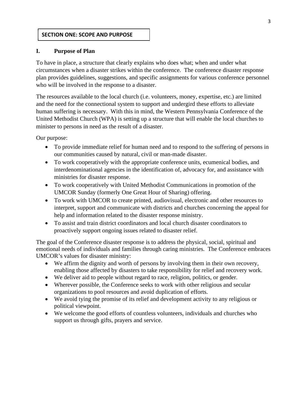#### **SECTION ONE: SCOPE AND PURPOSE**

#### **I. Purpose of Plan**

To have in place, a structure that clearly explains who does what; when and under what circumstances when a disaster strikes within the conference. The conference disaster response plan provides guidelines, suggestions, and specific assignments for various conference personnel who will be involved in the response to a disaster.

The resources available to the local church (i.e. volunteers, money, expertise, etc.) are limited and the need for the connectional system to support and undergird these efforts to alleviate human suffering is necessary. With this in mind, the Western Pennsylvania Conference of the United Methodist Church (WPA) is setting up a structure that will enable the local churches to minister to persons in need as the result of a disaster.

Our purpose:

- To provide immediate relief for human need and to respond to the suffering of persons in our communities caused by natural, civil or man-made disaster.
- To work cooperatively with the appropriate conference units, ecumenical bodies, and interdenominational agencies in the identification of, advocacy for, and assistance with ministries for disaster response.
- To work cooperatively with United Methodist Communications in promotion of the UMCOR Sunday (formerly One Great Hour of Sharing) offering.
- To work with UMCOR to create printed, audiovisual, electronic and other resources to interpret, support and communicate with districts and churches concerning the appeal for help and information related to the disaster response ministry.
- To assist and train district coordinators and local church disaster coordinators to proactively support ongoing issues related to disaster relief.

The goal of the Conference disaster response is to address the physical, social, spiritual and emotional needs of individuals and families through caring ministries. The Conference embraces UMCOR's values for disaster ministry:

- We affirm the dignity and worth of persons by involving them in their own recovery, enabling those affected by disasters to take responsibility for relief and recovery work.
- We deliver aid to people without regard to race, religion, politics, or gender.
- Wherever possible, the Conference seeks to work with other religious and secular organizations to pool resources and avoid duplication of efforts.
- We avoid tying the promise of its relief and development activity to any religious or political viewpoint.
- We welcome the good efforts of countless volunteers, individuals and churches who support us through gifts, prayers and service.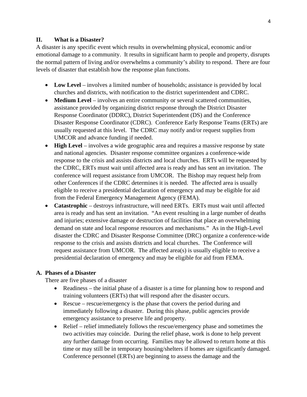#### **II. What is a Disaster?**

A disaster is any specific event which results in overwhelming physical, economic and/or emotional damage to a community. It results in significant harm to people and property, disrupts the normal pattern of living and/or overwhelms a community's ability to respond. There are four levels of disaster that establish how the response plan functions.

- **Low Level** involves a limited number of households; assistance is provided by local churches and districts, with notification to the district superintendent and CDRC.
- **Medium Level** involves an entire community or several scattered communities, assistance provided by organizing district response through the District Disaster Response Coordinator (DDRC), District Superintendent (DS) and the Conference Disaster Response Coordinator (CDRC). Conference Early Response Teams (ERTs) are usually requested at this level. The CDRC may notify and/or request supplies from UMCOR and advance funding if needed.
- **High Level** involves a wide geographic area and requires a massive response by state and national agencies. Disaster response committee organizes a conference-wide response to the crisis and assists districts and local churches. ERTs will be requested by the CDRC, ERTs must wait until affected area is ready and has sent an invitation. The conference will request assistance from UMCOR. The Bishop may request help from other Conferences if the CDRC determines it is needed. The affected area is usually eligible to receive a presidential declaration of emergency and may be eligible for aid from the Federal Emergency Management Agency (FEMA).
- **Catastrophic**  destroys infrastructure, will need ERTs. ERTs must wait until affected area is ready and has sent an invitation. "An event resulting in a large number of deaths and injuries; extensive damage or destruction of facilities that place an overwhelming demand on state and local response resources and mechanisms." As in the High-Level disaster the CDRC and Disaster Response Committee (DRC) organize a conference-wide response to the crisis and assists districts and local churches. The Conference will request assistance from UMCOR. The affected area(s) is usually eligible to receive a presidential declaration of emergency and may be eligible for aid from FEMA.

#### **A. Phases of a Disaster**

There are five phases of a disaster

- Readiness the initial phase of a disaster is a time for planning how to respond and training volunteers (ERTs) that will respond after the disaster occurs.
- Rescue rescue/emergency is the phase that covers the period during and immediately following a disaster. During this phase, public agencies provide emergency assistance to preserve life and property.
- Relief relief immediately follows the rescue/emergency phase and sometimes the two activities may coincide. During the relief phase, work is done to help prevent any further damage from occurring. Families may be allowed to return home at this time or may still be in temporary housing/shelters if homes are significantly damaged. Conference personnel (ERTs) are beginning to assess the damage and the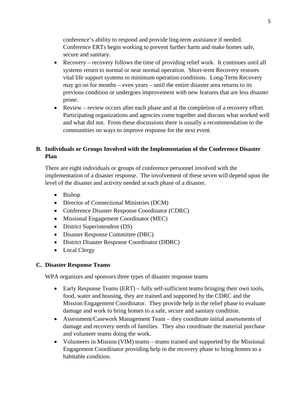conference's ability to respond and provide ling-term assistance if needed. Conference ERTs begin working to prevent further harm and make homes safe, secure and sanitary.

- Recovery recovery follows the time of providing relief work. It continues until all systems return to normal or near normal operation. Short-term Recovery restores vital life support systems to minimum operation conditions. Long-Term Recovery may go on for months – even years – until the entire disaster area returns to its previous condition or undergoes improvement with new features that are less disaster prone.
- Review review occurs after each phase and at the completion of a recovery effort. Participating organizations and agencies come together and discuss what worked well and what did not. From these discussions there is usually a recommendation to the communities on ways to improve response for the next event.

# **B. Individuals or Groups Involved with the Implementation of the Conference Disaster Plan**

There are eight individuals or groups of conference personnel involved with the implementation of a disaster response. The involvement of these seven will depend upon the level of the disaster and activity needed at each phase of a disaster.

- Bishop
- Director of Connectional Ministries (DCM)
- Conference Disaster Response Coordinator (CDRC)
- Missional Engagement Coordinator (MEC)
- District Superintendent (DS)
- Disaster Response Committee (DRC)
- District Disaster Response Coordinator (DDRC)
- Local Clergy

#### **C. Disaster Response Teams**

WPA organizes and sponsors three types of disaster response teams

- Early Response Teams (ERT) fully self-sufficient teams bringing their own tools, food, water and housing, they are trained and supported by the CDRC and the Mission Engagement Coordinator. They provide help in the relief phase to evaluate damage and work to bring homes to a safe, secure and sanitary condition.
- Assessment/Casework Management Team they coordinate initial assessments of damage and recovery needs of families. They also coordinate the material purchase and volunteer teams doing the work.
- Volunteers in Mission (VIM) teams teams trained and supported by the Missional Engagement Coordinator providing help in the recovery phase to bring homes to a habitable condition.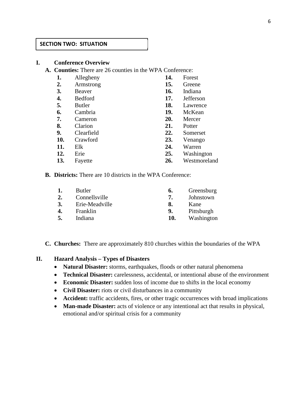#### **SECTION TWO: SITUATION**

#### **I. Conference Overview**

**A. Counties:** There are 26 counties in the WPA Conference:

| 1.  | Allegheny     | 14. | Forest       |
|-----|---------------|-----|--------------|
| 2.  | Armstrong     | 15. | Greene       |
| 3.  | Beaver        | 16. | Indiana      |
| 4.  | Bedford       | 17. | Jefferson    |
| 5.  | <b>Butler</b> | 18. | Lawrence     |
| 6.  | Cambria       | 19. | McKean       |
| 7.  | Cameron       | 20. | Mercer       |
| 8.  | Clarion       | 21. | Potter       |
| 9.  | Clearfield    | 22. | Somerset     |
| 10. | Crawford      | 23. | Venango      |
| 11. | Elk           | 24. | Warren       |
| 12. | Erie          | 25. | Washington   |
| 13. | Fayette       | 26. | Westmoreland |

**B. Districts:** There are 10 districts in the WPA Conference:

| 1. | <b>Butler</b>  | 6.  | Greensburg |
|----|----------------|-----|------------|
| 2. | Connellsville  | 7   | Johnstown  |
| 3. | Erie-Meadville | 8.  | Kane       |
| 4. | Franklin       | 9.  | Pittsburgh |
| 5. | Indiana        | 10. | Washington |
|    |                |     |            |

**C. Churches:** There are approximately 810 churches within the boundaries of the WPA

#### **II. Hazard Analysis – Types of Disasters**

- **Natural Disaster:** storms, earthquakes, floods or other natural phenomena
- **Technical Disaster:** carelessness, accidental, or intentional abuse of the environment
- **Economic Disaster:** sudden loss of income due to shifts in the local economy
- **Civil Disaster:** riots or civil disturbances in a community
- Accident: traffic accidents, fires, or other tragic occurrences with broad implications
- **Man-made Disaster:** acts of violence or any intentional act that results in physical, emotional and/or spiritual crisis for a community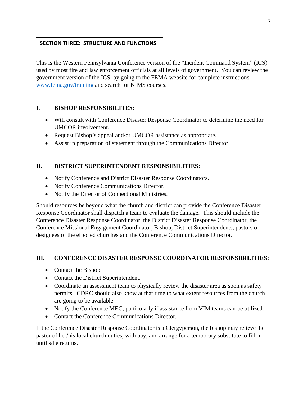#### **SECTION THREE: STRUCTURE AND FUNCTIONS**

This is the Western Pennsylvania Conference version of the "Incident Command System" (ICS) used by most fire and law enforcement officials at all levels of government. You can review the government version of the ICS, by going to the FEMA website for complete instructions: www.fema.gov/training and search for NIMS courses.

#### **I. BISHOP RESPONSIBILITES:**

- Will consult with Conference Disaster Response Coordinator to determine the need for UMCOR involvement.
- Request Bishop's appeal and/or UMCOR assistance as appropriate.
- Assist in preparation of statement through the Communications Director.

#### **II. DISTRICT SUPERINTENDENT RESPONSIBILITIES:**

- Notify Conference and District Disaster Response Coordinators.
- Notify Conference Communications Director.
- Notify the Director of Connectional Ministries.

Should resources be beyond what the church and district can provide the Conference Disaster Response Coordinator shall dispatch a team to evaluate the damage. This should include the Conference Disaster Response Coordinator, the District Disaster Response Coordinator, the Conference Missional Engagement Coordinator, Bishop, District Superintendents, pastors or designees of the effected churches and the Conference Communications Director.

#### **III. CONFERENCE DISASTER RESPONSE COORDINATOR RESPONSIBILITIES:**

- Contact the Bishop.
- Contact the District Superintendent.
- Coordinate an assessment team to physically review the disaster area as soon as safety permits. CDRC should also know at that time to what extent resources from the church are going to be available.
- Notify the Conference MEC, particularly if assistance from VIM teams can be utilized.
- Contact the Conference Communications Director.

If the Conference Disaster Response Coordinator is a Clergyperson, the bishop may relieve the pastor of her/his local church duties, with pay, and arrange for a temporary substitute to fill in until s/he returns.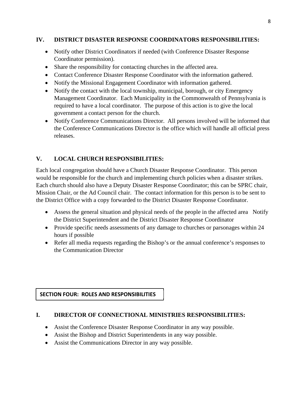#### **IV. DISTRICT DISASTER RESPONSE COORDINATORS RESPONSIBILITIES:**

- Notify other District Coordinators if needed (with Conference Disaster Response Coordinator permission).
- Share the responsibility for contacting churches in the affected area.
- Contact Conference Disaster Response Coordinator with the information gathered.
- Notify the Missional Engagement Coordinator with information gathered.
- Notify the contact with the local township, municipal, borough, or city Emergency Management Coordinator. Each Municipality in the Commonwealth of Pennsylvania is required to have a local coordinator. The purpose of this action is to give the local government a contact person for the church.
- Notify Conference Communications Director. All persons involved will be informed that the Conference Communications Director is the office which will handle all official press releases.

# **V. LOCAL CHURCH RESPONSIBILITIES:**

Each local congregation should have a Church Disaster Response Coordinator. This person would be responsible for the church and implementing church policies when a disaster strikes. Each church should also have a Deputy Disaster Response Coordinator; this can be SPRC chair, Mission Chair, or the Ad Council chair. The contact information for this person is to be sent to the District Office with a copy forwarded to the District Disaster Response Coordinator.

- Assess the general situation and physical needs of the people in the affected area Notify the District Superintendent and the District Disaster Response Coordinator
- Provide specific needs assessments of any damage to churches or parsonages within 24 hours if possible
- Refer all media requests regarding the Bishop's or the annual conference's responses to the Communication Director

#### **SECTION FOUR: ROLES AND RESPONSIBILITIES**

#### **I. DIRECTOR OF CONNECTIONAL MINISTRIES RESPONSIBILITIES:**

- Assist the Conference Disaster Response Coordinator in any way possible.
- Assist the Bishop and District Superintendents in any way possible.
- Assist the Communications Director in any way possible.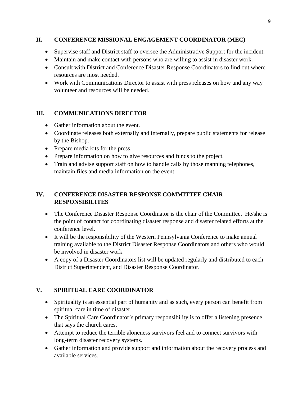#### **II. CONFERENCE MISSIONAL ENGAGEMENT COORDINATOR (MEC)**

- Supervise staff and District staff to oversee the Administrative Support for the incident.
- Maintain and make contact with persons who are willing to assist in disaster work.
- Consult with District and Conference Disaster Response Coordinators to find out where resources are most needed.
- Work with Communications Director to assist with press releases on how and any way volunteer and resources will be needed.

#### **III. COMMUNICATIONS DIRECTOR**

- Gather information about the event.
- Coordinate releases both externally and internally, prepare public statements for release by the Bishop.
- Prepare media kits for the press.
- Prepare information on how to give resources and funds to the project.
- Train and advise support staff on how to handle calls by those manning telephones, maintain files and media information on the event.

# **IV. CONFERENCE DISASTER RESPONSE COMMITTEE CHAIR RESPONSIBILITES**

- The Conference Disaster Response Coordinator is the chair of the Committee. He/she is the point of contact for coordinating disaster response and disaster related efforts at the conference level.
- It will be the responsibility of the Western Pennsylvania Conference to make annual training available to the District Disaster Response Coordinators and others who would be involved in disaster work.
- A copy of a Disaster Coordinators list will be updated regularly and distributed to each District Superintendent, and Disaster Response Coordinator.

# **V. SPIRITUAL CARE COORDINATOR**

- Spirituality is an essential part of humanity and as such, every person can benefit from spiritual care in time of disaster.
- The Spiritual Care Coordinator's primary responsibility is to offer a listening presence that says the church cares.
- Attempt to reduce the terrible aloneness survivors feel and to connect survivors with long-term disaster recovery systems.
- Gather information and provide support and information about the recovery process and available services.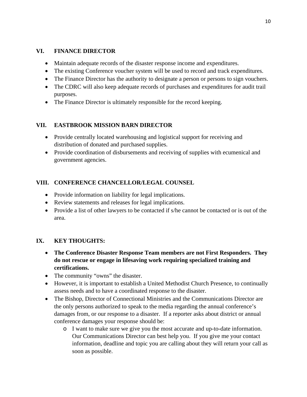## **VI. FINANCE DIRECTOR**

- Maintain adequate records of the disaster response income and expenditures.
- The existing Conference voucher system will be used to record and track expenditures.
- The Finance Director has the authority to designate a person or persons to sign vouchers.
- The CDRC will also keep adequate records of purchases and expenditures for audit trail purposes.
- The Finance Director is ultimately responsible for the record keeping.

# **VII. EASTBROOK MISSION BARN DIRECTOR**

- Provide centrally located warehousing and logistical support for receiving and distribution of donated and purchased supplies.
- Provide coordination of disbursements and receiving of supplies with ecumenical and government agencies.

# **VIII. CONFERENCE CHANCELLOR/LEGAL COUNSEL**

- Provide information on liability for legal implications.
- Review statements and releases for legal implications.
- Provide a list of other lawyers to be contacted if s/he cannot be contacted or is out of the area.

# **IX. KEY THOUGHTS:**

- **The Conference Disaster Response Team members are not First Responders. They do not rescue or engage in lifesaving work requiring specialized training and certifications.**
- The community "owns" the disaster.
- However, it is important to establish a United Methodist Church Presence, to continually assess needs and to have a coordinated response to the disaster.
- The Bishop, Director of Connectional Ministries and the Communications Director are the only persons authorized to speak to the media regarding the annual conference's damages from, or our response to a disaster. If a reporter asks about district or annual conference damages your response should be:
	- o I want to make sure we give you the most accurate and up-to-date information. Our Communications Director can best help you. If you give me your contact information, deadline and topic you are calling about they will return your call as soon as possible.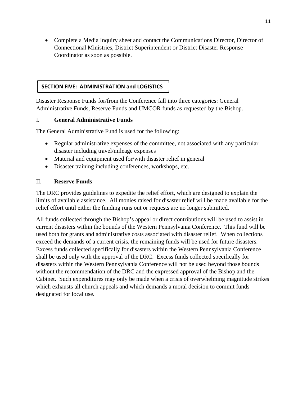Complete a Media Inquiry sheet and contact the Communications Director, Director of Connectional Ministries, District Superintendent or District Disaster Response Coordinator as soon as possible.

#### **SECTION FIVE: ADMINISTRATION and LOGISTICS**

Disaster Response Funds for/from the Conference fall into three categories: General Administrative Funds, Reserve Funds and UMCOR funds as requested by the Bishop.

#### I. **General Administrative Funds**

The General Administrative Fund is used for the following:

- Regular administrative expenses of the committee, not associated with any particular disaster including travel/mileage expenses
- Material and equipment used for/with disaster relief in general
- Disaster training including conferences, workshops, etc.

#### II. **Reserve Funds**

The DRC provides guidelines to expedite the relief effort, which are designed to explain the limits of available assistance. All monies raised for disaster relief will be made available for the relief effort until either the funding runs out or requests are no longer submitted.

All funds collected through the Bishop's appeal or direct contributions will be used to assist in current disasters within the bounds of the Western Pennsylvania Conference. This fund will be used both for grants and administrative costs associated with disaster relief. When collections exceed the demands of a current crisis, the remaining funds will be used for future disasters. Excess funds collected specifically for disasters within the Western Pennsylvania Conference shall be used only with the approval of the DRC. Excess funds collected specifically for disasters within the Western Pennsylvania Conference will not be used beyond those bounds without the recommendation of the DRC and the expressed approval of the Bishop and the Cabinet. Such expenditures may only be made when a crisis of overwhelming magnitude strikes which exhausts all church appeals and which demands a moral decision to commit funds designated for local use.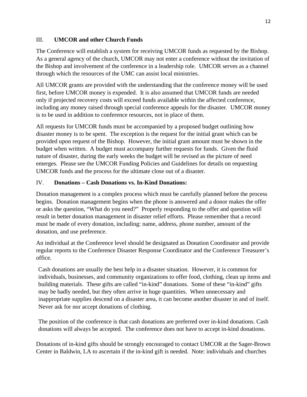#### III. **UMCOR and other Church Funds**

The Conference will establish a system for receiving UMCOR funds as requested by the Bishop. As a general agency of the church, UMCOR may not enter a conference without the invitation of the Bishop and involvement of the conference in a leadership role. UMCOR serves as a channel through which the resources of the UMC can assist local ministries.

All UMCOR grants are provided with the understanding that the conference money will be used first, before UMCOR money is expended. It is also assumed that UMCOR funds are needed only if projected recovery costs will exceed funds available within the affected conference, including any money raised through special conference appeals for the disaster. UMCOR money is to be used in addition to conference resources, not in place of them.

All requests for UMCOR funds must be accompanied by a proposed budget outlining how disaster money is to be spent. The exception is the request for the initial grant which can be provided upon request of the Bishop. However, the initial grant amount must be shown in the budget when written. A budget must accompany further requests for funds. Given the fluid nature of disaster, during the early weeks the budget will be revised as the picture of need emerges. Please see the UMCOR Funding Policies and Guidelines for details on requesting UMCOR funds and the process for the ultimate close out of a disaster.

### IV. **Donations – Cash Donations vs. In-Kind Donations:**

Donation management is a complex process which must be carefully planned before the process begins. Donation management begins when the phone is answered and a donor makes the offer or asks the question, "What do you need?" Properly responding to the offer and question will result in better donation management in disaster relief efforts. Please remember that a record must be made of every donation, including: name, address, phone number, amount of the donation, and use preference.

An individual at the Conference level should be designated as Donation Coordinator and provide regular reports to the Conference Disaster Response Coordinator and the Conference Treasurer's office.

Cash donations are usually the best help in a disaster situation. However, it is common for individuals, businesses, and community organizations to offer food, clothing, clean up items and building materials. These gifts are called "in-kind" donations. Some of these "in-kind" gifts may be badly needed, but they often arrive in huge quantities. When unnecessary and inappropriate supplies descend on a disaster area, it can become another disaster in and of itself. Never ask for nor accept donations of clothing.

The position of the conference is that cash donations are preferred over in-kind donations. Cash donations will always be accepted. The conference does not have to accept in-kind donations.

Donations of in-kind gifts should be strongly encouraged to contact UMCOR at the Sager-Brown Center in Baldwin, LA to ascertain if the in-kind gift is needed. Note: individuals and churches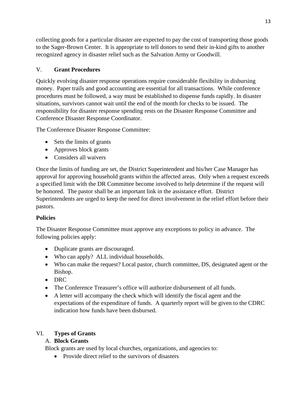collecting goods for a particular disaster are expected to pay the cost of transporting those goods to the Sager-Brown Center. It is appropriate to tell donors to send their in-kind gifts to another recognized agency in disaster relief such as the Salvation Army or Goodwill.

# V. **Grant Procedures**

Quickly evolving disaster response operations require considerable flexibility in disbursing money. Paper trails and good accounting are essential for all transactions. While conference procedures must be followed, a way must be established to dispense funds rapidly. In disaster situations, survivors cannot wait until the end of the month for checks to be issued. The responsibility for disaster response spending rests on the Disaster Response Committee and Conference Disaster Response Coordinator.

The Conference Disaster Response Committee:

- Sets the limits of grants
- Approves block grants
- Considers all waivers

Once the limits of funding are set, the District Superintendent and his/her Case Manager has approval for approving household grants within the affected areas. Only when a request exceeds a specified limit with the DR Committee become involved to help determine if the request will be honored. The pastor shall be an important link in the assistance effort. District Superintendents are urged to keep the need for direct involvement in the relief effort before their pastors.

# **Policies**

The Disaster Response Committee must approve any exceptions to policy in advance. The following policies apply:

- Duplicate grants are discouraged.
- Who can apply? ALL individual households.
- Who can make the request? Local pastor, church committee, DS, designated agent or the Bishop.
- DRC
- The Conference Treasurer's office will authorize disbursement of all funds.
- A letter will accompany the check which will identify the fiscal agent and the expectations of the expenditure of funds. A quarterly report will be given to the CDRC indication how funds have been disbursed.

# VI. **Types of Grants**

# A. **Block Grants**

Block grants are used by local churches, organizations, and agencies to:

• Provide direct relief to the survivors of disasters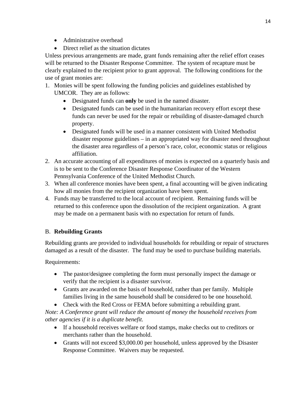- Administrative overhead
- Direct relief as the situation dictates

Unless previous arrangements are made, grant funds remaining after the relief effort ceases will be returned to the Disaster Response Committee. The system of recapture must be clearly explained to the recipient prior to grant approval. The following conditions for the use of grant monies are:

- 1. Monies will be spent following the funding policies and guidelines established by UMCOR. They are as follows:
	- Designated funds can **only** be used in the named disaster.
	- Designated funds can be used in the humanitarian recovery effort except these funds can never be used for the repair or rebuilding of disaster-damaged church property.
	- Designated funds will be used in a manner consistent with United Methodist disaster response guidelines – in an appropriated way for disaster need throughout the disaster area regardless of a person's race, color, economic status or religious affiliation.
- 2. An accurate accounting of all expenditures of monies is expected on a quarterly basis and is to be sent to the Conference Disaster Response Coordinator of the Western Pennsylvania Conference of the United Methodist Church.
- 3. When all conference monies have been spent, a final accounting will be given indicating how all monies from the recipient organization have been spent.
- 4. Funds may be transferred to the local account of recipient. Remaining funds will be returned to this conference upon the dissolution of the recipient organization. A grant may be made on a permanent basis with no expectation for return of funds.

# B. **Rebuilding Grants**

Rebuilding grants are provided to individual households for rebuilding or repair of structures damaged as a result of the disaster. The fund may be used to purchase building materials.

Requirements:

- The pastor/designee completing the form must personally inspect the damage or verify that the recipient is a disaster survivor.
- Grants are awarded on the basis of household, rather than per family. Multiple families living in the same household shall be considered to be one household.
- Check with the Red Cross or FEMA before submitting a rebuilding grant.

*Note: A Conference grant will reduce the amount of money the household receives from other agencies if it is a duplicate benefit.* 

- If a household receives welfare or food stamps, make checks out to creditors or merchants rather than the household.
- Grants will not exceed \$3,000.00 per household, unless approved by the Disaster Response Committee. Waivers may be requested.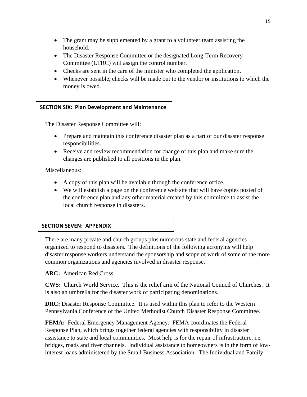- The grant may be supplemented by a grant to a volunteer team assisting the household.
- The Disaster Response Committee or the designated Long-Term Recovery Committee (LTRC) will assign the control number.
- Checks are sent in the care of the minister who completed the application.
- Whenever possible, checks will be made out to the vendor or institutions to which the money is owed.

#### **SECTION SIX: Plan Development and Maintenance**

The Disaster Response Committee will:

- Prepare and maintain this conference disaster plan as a part of our disaster response responsibilities.
- Receive and review recommendation for change of this plan and make sure the changes are published to all positions in the plan.

Miscellaneous:

- A copy of this plan will be available through the conference office.
- We will establish a page on the conference web site that will have copies posted of the conference plan and any other material created by this committee to assist the local church response in disasters.

#### **SECTION SEVEN: APPENDIX**

There are many private and church groups plus numerous state and federal agencies organized to respond to disasters. The definitions of the following acronyms will help disaster response workers understand the sponsorship and scope of work of some of the more common organizations and agencies involved in disaster response.

**ARC:** American Red Cross

**CWS:** Church World Service. This is the relief arm of the National Council of Churches. It is also an umbrella for the disaster work of participating denominations.

**DRC:** Disaster Response Committee. It is used within this plan to refer to the Western Pennsylvania Conference of the United Methodist Church Disaster Response Committee.

**FEMA:** Federal Emergency Management Agency. FEMA coordinates the Federal Response Plan, which brings together federal agencies with responsibility in disaster assistance to state and local communities. Most help is for the repair of infrastructure, i.e. bridges, roads and river channels. Individual assistance to homeowners is in the form of lowinterest loans administered by the Small Business Association. The Individual and Family